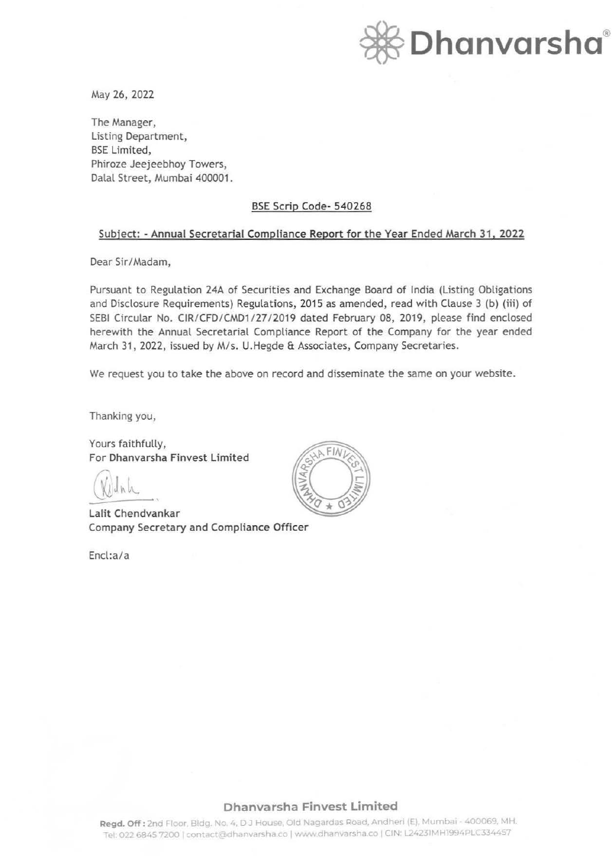

May 26, 2022

The Manager, Listing Department, BSE Limited, Phiroze Jeejeebhoy Towers, Dalal Street, Mumbai 400001.

## BSE Scrip Code- 540268

### Subject: - Annual Secretarial Compliance Report for the Year Ended March 31, 2022

Dear Sir/Madam,

Pursuant to Regulation 24A of Securities and Exchange Board of India (Listing Obligations and Disclosure Requirements) Regulations, 2015 as amended, read with Clause 3 (b) (iii) of SEBI Circular No. CIR/ CFD/ CMD1/27/2019 dated February 08, 2019, please find enclosed herewith the Annual Secretarial Compliance Report of the Company for the year ended March 31, 2022, issued by M/s. U.Hegde & Associates, Company Secretaries.

We request you to take the above on record and disseminate the same on your website.

Thanking you,

Yours faithfully, For Dhanvarsha Finvest Limited

Lalit Chendvankar Company Secretary and Compliance Officer

Encl:a/a



## **Dhanvarsha Finvest Limited**

Regd. Off: 2nd Floor, Bldg. No. 4, DJ House, Old Nagardas Road, Andheri (E), Mumbai - 400069, MH. Tel: 022 6845 7200 | contact@dhanvarsha.co | www.dhanvarsha.co | CIN: L24231MH1994PLC334457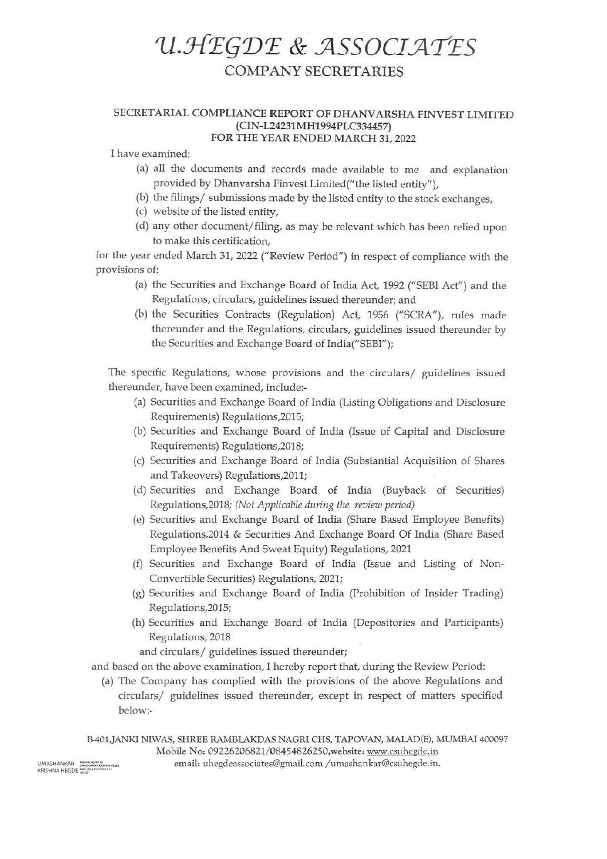# *1J.:J{E(j1JE* **&** *.JlSSOCI.JlTES*  COMPANY SECRETARIES

### **SECRET ARIAL COMPLIANCE REPORT OF DHANV ARSHA FINVEST LIMITED**  (CIN-**L24231MH1994PLC334457) FOR THE YEAR ENDED MARCH 31,** 2022

I have examined:

- (a) all the documents and records made available to me and explanation provided by Dhanvarsha Finvest Limited("the listed entity"),
- (b) the filings/ submissions made by the listed entity to the stock exchanges,
- (c) website of the listed entity,
- ( d) any other document/ filing, as may be relevant which has been relied upon to make this certification,

for the year ended March 31, 2022 ("Review Period") in respect of compliance with the provisions of:

- (a) the Securities and Exchange Board of India Act, 1992 ("SEBI Act") and the Regulations, circulars, guidelines issued thereunder; and
- (b) the Securities Contracts (Regulation) Act, 1956 ("SCRA"), rules made thereunder and the Regulations, circulars, guidelines issued thereunder by the Securities and Exchange Board of India("SEBI");

The specific Regulations, whose provisions and the circulars/ guidelines issued thereunder, have been examined, include:-

- (a) Securities and Exchange Board of India (Listing Obligations and Disclosure Requirements) Regulations,2015;
- (b) Securities and Exchange Board of India (Issue of Capital and Disclosure Requirements) Regulations,2018;
- (c) Securities and Exchange Board of India (Substantial Acquisition of Shares and Takeovers) Regulations,2011;
- (d) Securities and Exchange Board of India (Buyback of Securities) Regulations,2018; *(Not Applicable during the review period)*
- (e) Securities and Exchange Board of India (Share Based Employee Benefits) Regulations,2014 & Securities And Exchange Board Of India (Share Based Employee Benefits And Sweat Equity) Regulations, 2021
- (f) Securities and Exchange Board of India (Issue and Listing of Non-Convertible Securities) Regulations, 2021;
- (g) Securities and Exchange Board of India (Prohibition of Insider Trading) Regulations,2015;
- (h) Securities and Exchange Board of India (Depositories and Participants) Regulations, 2018

and circulars/ guidelines issued thereunder;

and based on the above examination, I hereby report that, during the Review Period:

(a) The Company has complied with the provisions of the above Regulations and circulars/ guidelines issued thereunder, except in respect of matters specified below:-

B-401,JANKI NIWAS, SHREE RAMBLAKDAS NAGRI CHS, TAPOVAN, MALAD(E), MUMBAI 400097 Mobile No: 09226206821/08454826250, website: www.csuhegde.in email: uhegdeassociates@gmail.com /umashankar@csuhegdc.in.

UMASHANKAR == <sup>Digitalis signed by<br>KRISHNA HEGDE Defection as a heath life of</sup>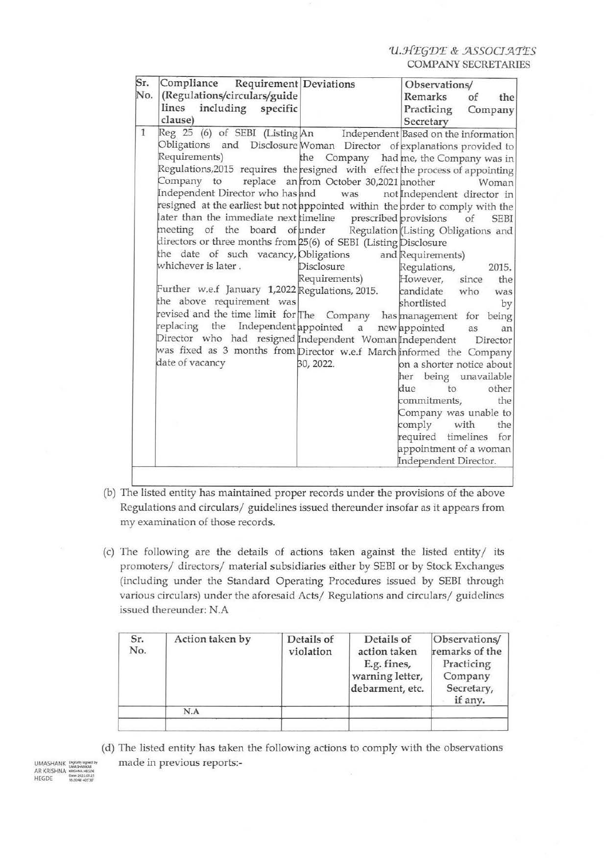U.HEGDE & ASSOCIATES **COMPANY SECRETARIES** 

| Sr.          | Compliance Requirement Deviations                                                                                                                                                                                                                                                                                                                                                                                                                                                                                                                                                                                                                                                                                                                                                                                                                                                                                                                                                                                                                                                 |                                                                                     | Observations/                                                                                                                                                                                                                                                                                                                                                                                                 |
|--------------|-----------------------------------------------------------------------------------------------------------------------------------------------------------------------------------------------------------------------------------------------------------------------------------------------------------------------------------------------------------------------------------------------------------------------------------------------------------------------------------------------------------------------------------------------------------------------------------------------------------------------------------------------------------------------------------------------------------------------------------------------------------------------------------------------------------------------------------------------------------------------------------------------------------------------------------------------------------------------------------------------------------------------------------------------------------------------------------|-------------------------------------------------------------------------------------|---------------------------------------------------------------------------------------------------------------------------------------------------------------------------------------------------------------------------------------------------------------------------------------------------------------------------------------------------------------------------------------------------------------|
| No.          | (Regulations/circulars/guide<br>lines including specific<br>clause)                                                                                                                                                                                                                                                                                                                                                                                                                                                                                                                                                                                                                                                                                                                                                                                                                                                                                                                                                                                                               |                                                                                     | Remarks<br>of<br>the<br>Practicing<br>Company<br>Secretary                                                                                                                                                                                                                                                                                                                                                    |
| $\mathbf{1}$ | Reg 25 (6) of SEBI (Listing An Independent Based on the information<br>Obligations and Disclosure Woman Director of explanations provided to<br>Requirements)<br>Regulations, 2015 requires the resigned with effect the process of appointing<br>Company to<br>Independent Director who has and was not Independent director in<br>resigned at the earliest but not appointed within the order to comply with the<br>later than the immediate next timeline prescribed provisions<br>meeting of the board of under Regulation (Listing Obligations and<br>directors or three months from 25(6) of SEBI (Listing Disclosure<br>the date of such vacancy, Obligations and Requirements)<br>whichever is later.<br>Further w.e.f January 1,2022 Regulations, 2015.<br>the above requirement was<br>revised and the time limit for The Company has management for being<br>replacing the Independent appointed a new appointed<br>Director who had resigned Independent Woman Independent<br>was fixed as 3 months from Director w.e.f March informed the Company<br>date of vacancy | replace an from October 30,2021 another<br>Disclosure<br>Requirements)<br>30, 2022. | the Company had me, the Company was in<br>Woman<br>of SEBI<br>Regulations,<br>2015.<br>However, since<br>the<br>candidate who was<br>shortlisted<br>by<br>as<br>an<br>Director<br>on a shorter notice about<br>her being unavailable<br>due<br>other<br>to<br>commitments,<br>the<br>Company was unable to<br>comply with<br>the<br>required timelines for<br>appointment of a woman<br>Independent Director. |

- (b) The listed entity has maintained proper records under the provisions of the above Regulations and circulars/ guidelines issued thereunder insofar as it appears from my examination of those records.
- (c) The following are the details of actions taken against the listed entity/ its promoters/ directors/ material subsidiaries either by SEBI or by Stock Exchanges (including under the Standard Operating Procedures issued by SEBI through various circulars) under the aforesaid Acts/ Regulations and circulars/ guidelines issued thereunder: N.A

| Sr.<br>No. | Action taken by | Details of<br>violation | Details of<br>action taken<br>E.g. fines,<br>warning letter,<br>debarment, etc. | Observations/<br>remarks of the<br>Practicing<br>Company<br>Secretary,<br>if any. |
|------------|-----------------|-------------------------|---------------------------------------------------------------------------------|-----------------------------------------------------------------------------------|
|            | N.A             |                         |                                                                                 |                                                                                   |

(d) The listed entity has taken the following actions to comply with the observations made in previous reports:-

**UMASHANK** AR KRISHNA **HEGDE**